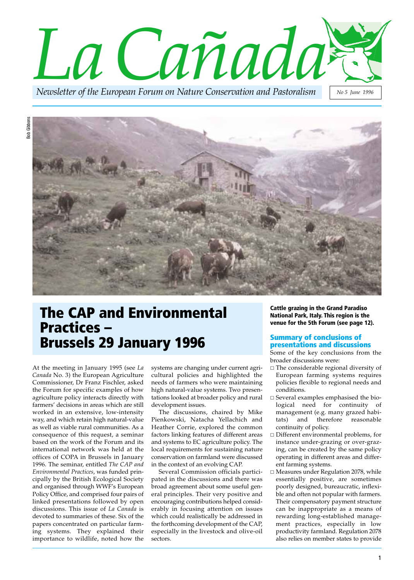



## **The CAP and Environmental Practices – Brussels 29 January 1996**

At the meeting in January 1995 (see *La Canada* No. 3) the European Agriculture Commissioner, Dr Franz Fischler, asked the Forum for specific examples of how agriculture policy interacts directly with farmers' decisions in areas which are still worked in an extensive, low-intensity way, and which retain high natural-value as well as viable rural communities. As a consequence of this request, a seminar based on the work of the Forum and its international network was held at the offices of COPA in Brussels in January 1996. The seminar, entitled *The CAP and Environmental Practices*, was funded principally by the British Ecological Society and organised through WWF's European Policy Office, and comprised four pairs of linked presentations followed by open discussions. This issue of *La Canada* is devoted to summaries of these. Six of the papers concentrated on particular farming systems. They explained their importance to wildlife, noted how the

systems are changing under current agricultural policies and highlighted the needs of farmers who were maintaining high natural-value systems. Two presentations looked at broader policy and rural development issues.

The discussions, chaired by Mike Pienkowski, Natacha Yellachich and Heather Corrie, explored the common factors linking features of different areas and systems to EC agriculture policy. The local requirements for sustaining nature conservation on farmland were discussed in the context of an evolving CAP.

Several Commission officials participated in the discussions and there was broad agreement about some useful general principles. Their very positive and encouraging contributions helped considerably in focusing attention on issues which could realistically be addressed in the forthcoming development of the CAP, especially in the livestock and olive-oil sectors.

**Cattle grazing in the Grand Paradiso National Park, Italy. This region is the venue for the 5th Forum (see page 12).**

#### **Summary of conclusions of presentations and discussions**

Some of the key conclusions from the broader discussions were:

- $\Box$  The considerable regional diversity of European farming systems requires policies flexible to regional needs and conditions.
- Several examples emphasised the biological need for continuity of management (e.g. many grazed habitats) and therefore reasonable continuity of policy.
- □ Different environmental problems*,* for instance under-grazing or over-grazing, can be created by the same policy operating in different areas and different farming systems.
- □ Measures under Regulation 2078, while essentially positive, are sometimes poorly designed, bureaucratic, inflexible and often not popular with farmers. Their compensatory payment structure can be inappropriate as a means of rewarding long-established management practices, especially in low productivity farmland. Regulation 2078 also relies on member states to provide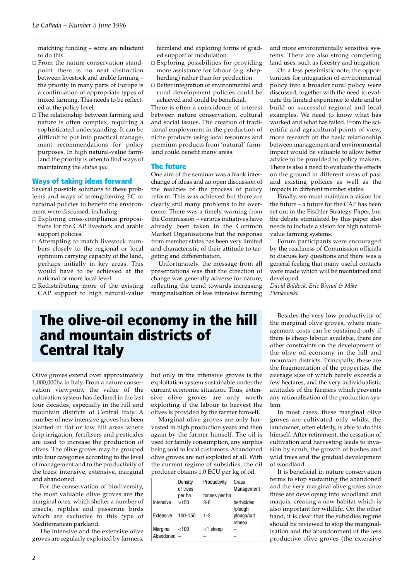matching funding – some are reluctant to do this.

- From the nature conservation standpoint there is no neat distinction between livestock and arable farming – the priority in many parts of Europe is a continuation of appropriate types of mixed farming. This needs to be reflected at the policy level.
- □ The relationship between farming and nature is often complex, requiring a sophisticated understanding. It can be difficult to put into practical management recommendations for policy purposes. In high natural-value farmland the priority is often to find ways of maintaining the *status quo.*

#### **Ways of taking ideas forward**

Several possible solutions to these problems and ways of strengthening EC or national policies to benefit the environment were discussed, including:

- Exploring cross-compliance propositions for the CAP livestock and arable support policies.
- Attempting to match livestock numbers closely to the regional or local optimum carrying capacity of the land, perhaps initially in key areas. This would have to be achieved at the national or more local level.
- $\Box$  Redistributing more of the existing CAP support to high natural-value

farmland and exploring forms of graded support or modulation.

- $\Box$  Exploring possibilities for providing more assistance for labour (e.g. shepherding) rather than for production.
- □ Better integration of environmental and rural development policies could be achieved and could be beneficial.

There is often a coincidence of interest between nature conservation, cultural and social issues. The creation of traditional employment in the production of niche products using local resources and premium products from 'natural' farmland could benefit many areas.

#### **The future**

One aim of the seminar was a frank interchange of ideas and an open discussion of the realities of the process of policy reform. This was achieved but there are clearly still many problems to be overcome. There was a timely warning from the Commission – various initiatives have already been taken in the Common Market Organisations but the response from member states has been very limited and characteristic of their attitude to targeting and differentiation.

Unfortunately, the message from all presentations was that the direction of change was generally adverse for nature, reflecting the trend towards increasing marginalisation of less intensive farming

and more environmentally sensitive systems. There are also strong competing land uses, such as forestry and irrigation.

On a less pessimistic note, the opportunities for integration of environmental policy into a broader rural policy were discussed, together with the need to evaluate the limited experience to date and to build on successful regional and local examples. We need to know what has worked and what has failed. From the scientific and agricultural points of view, more research on the basic relationship between management and environmental impact would be valuable to allow better advice to be provided to policy makers. There is also a need to evaluate the effects on the ground in different areas of past and existing policies as well as the impacts in different member states.

Finally, we must maintain a vision for the future – a future for the CAP has been set out in the Fischler Strategy Paper, but the debate stimulated by this paper also needs to include a vision for high naturalvalue farming systems.

Forum participants were encouraged by the readiness of Commission officials to discuss key questions and there was a general feeling that many useful contacts were made which will be maintained and developed.

*David Baldock, Eric Bignal & Mike Pienkowski*

### **The olive-oil economy in the hill and mountain districts of Central Italy**

Olive groves extend over approximately 1,000,000ha in Italy. From a nature conservation viewpoint the value of the cultivation system has declined in the last four decades, especially in the hill and mountain districts of Central Italy. A number of new intensive groves has been planted in flat or low hill areas where drip irrigation, fertilisers and pesticides are used to increase the production of olives. The olive groves may be grouped into four categories according to the level of management and to the productivity of the trees: intensive, extensive, marginal and abandoned.

For the conservation of biodiversity, the most valuable olive groves are the marginal ones, which shelter a number of insects, reptiles and passerine birds which are exclusive to this type of Mediterranean parkland.

The intensive and the extensive olive groves are regularly exploited by farmers,

but only in the intensive groves is the exploitation system sustainable under the current economic situation. Thus, extensive olive groves are only worth exploiting if the labour to harvest the olives is provided by the farmer himself.

Marginal olive groves are only harvested in high production years and then again by the farmer himself. The oil is used for family consumption, any surplus being sold to local customers. Abandoned olive groves are not exploited at all. With the current regime of subsidies, the oil producer obtains 1.0 ECU per kg of oil.

|             | Density<br>of trees | Productivity  | Grass<br>Management   |
|-------------|---------------------|---------------|-----------------------|
|             | per ha              | tonnes per ha |                       |
| Intensive   | >150                | 3-6           | herbicides<br>/plough |
| Extensive   | 100-150             | $1 - 3$       | plough/cut<br>/sheep  |
| Marginal    | $<$ 100             | $<$ 1 sheep   |                       |
| Abandoned - |                     |               |                       |

Besides the very low productivity of the marginal olive groves, where management costs can be sustained only if there is cheap labour available, there are other constraints on the development of the olive oil economy in the hill and mountain districts. Principally, these are the fragmentation of the properties, the average size of which barely exceeds a few hectares, and the very individualistic attitudes of the farmers which prevents any rationalisation of the production system.

In most cases, these marginal olive groves are cultivated only whilst the landowner, often elderly, is able to do this himself. After retirement, the cessation of cultivation and harvesting leads to invasion by scrub, the growth of bushes and wild trees and the gradual development of woodland.

It is beneficial in nature conservation terms to stop sustaining the abandoned and the very marginal olive groves since these are developing into woodland and maquis, creating a new habitat which is also important for wildlife. On the other hand, it is clear that the subsidies regime should be reviewed to stop the marginalisation and the abandonment of the less productive olive groves (the extensive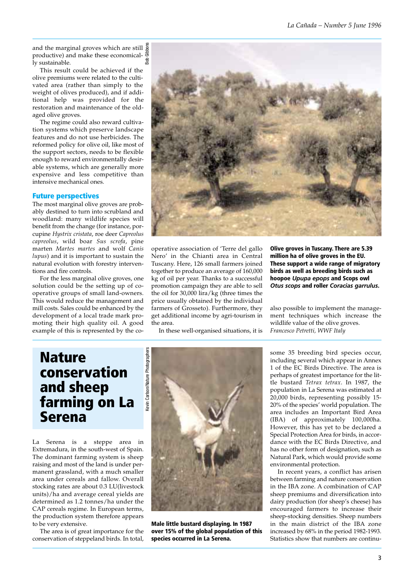and the marginal groves which are still productive) and make these economically sustainable. Bob Gibbons

This result could be achieved if the olive premiums were related to the cultivated area (rather than simply to the weight of olives produced), and if additional help was provided for the restoration and maintenance of the oldaged olive groves.

The regime could also reward cultivation systems which preserve landscape features and do not use herbicides. The reformed policy for olive oil, like most of the support sectors, needs to be flexible enough to reward environmentally desirable systems, which are generally more expensive and less competitive than intensive mechanical ones.

#### **Future perspectives**

The most marginal olive groves are probably destined to turn into scrubland and woodland: many wildlife species will benefit from the change (for instance, porcupine *Hystrix cristata*, roe deer *Capreolus capreolus*, wild boar *Sus scrofa*, pine marten *Martes martes* and wolf *Canis lupus*) and it is important to sustain the natural evolution with forestry interventions and fire controls.

For the less marginal olive groves, one solution could be the setting up of cooperative groups of small land-owners. This would reduce the management and mill costs. Sales could be enhanced by the development of a local trade mark promoting their high quality oil. A good example of this is represented by the co-



operative association of 'Terre del gallo Nero' in the Chianti area in Central Tuscany. Here, 126 small farmers joined together to produce an average of 160,000 kg of oil per year. Thanks to a successful promotion campaign they are able to sell the oil for 30,000 lira/kg (three times the price usually obtained by the individual farmers of Grosseto). Furthermore, they get additional income by agri-tourism in the area.

In these well-organised situations, it is

**Olive groves in Tuscany. There are 5.39 million ha of olive groves in the EU. These support a wide range of migratory birds as well as breeding birds such as hoopoe** *Upupa epops* **and Scops owl** *Otus scops* **and roller** *Coracias garrulus***.**

also possible to implement the management techniques which increase the wildlife value of the olive groves. *Francesco Petretti, WWF Italy*

# **Nature conservation and sheep farming on La Serena**

La Serena is a steppe area in Extremadura, in the south-west of Spain. The dominant farming system is sheep raising and most of the land is under permanent grassland, with a much smaller area under cereals and fallow. Overall stocking rates are about 0.3 LU(livestock units)/ha and average cereal yields are determined as 1.2 tonnes/ha under the CAP cereals regime. In European terms, the production system therefore appears to be very extensive.

The area is of great importance for the conservation of steppeland birds. In total,



**Male little bustard displaying. In 1987 over 15% of the global population of this species occurred in La Serena.**

some 35 breeding bird species occur, including several which appear in Annex 1 of the EC Birds Directive. The area is perhaps of greatest importance for the little bustard *Tetrax tetrax*. In 1987, the population in La Serena was estimated at 20,000 birds, representing possibly 15- 20% of the species' world population. The area includes an Important Bird Area (IBA) of approximately 100,000ha. However, this has yet to be declared a Special Protection Area for birds, in accordance with the EC Birds Directive, and has no other form of designation, such as Natural Park, which would provide some environmental protection.

In recent years, a conflict has arisen between farming and nature conservation in the IBA zone. A combination of CAP sheep premiums and diversification into dairy production (for sheep's cheese) has encouraged farmers to increase their sheep-stocking densities. Sheep numbers in the main district of the IBA zone increased by 68% in the period 1982-1993. Statistics show that numbers are continu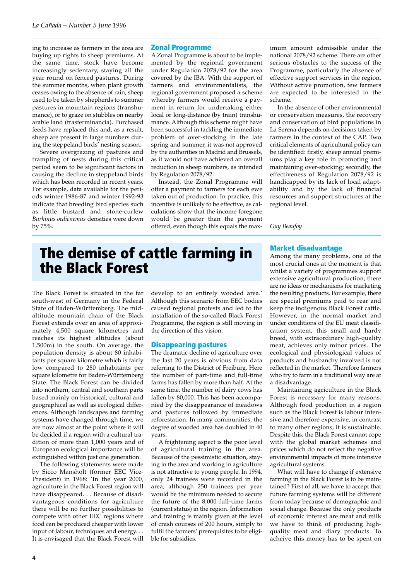ing to increase as farmers in the area are buying up rights to sheep premiums. At the same time, stock have become increasingly sedentary, staying all the year round on fenced pastures. During the summer months, when plant growth ceases owing to the absence of rain, sheep used to be taken by shepherds to summer pastures in mountain regions (transhumance), or to graze on stubbles on nearby arable land (trasterminancia). Purchased feeds have replaced this and, as a result, sheep are present in large numbers during the steppeland birds' nesting season.

Severe overgrazing of pastures and trampling of nests during this critical period seem to be significant factors in causing the decline in steppeland birds which has been recorded in recent years. For example, data available for the periods winter 1986-87 and winter 1992-93 indicate that breeding bird species such as little bustard and stone-curlew *Burhinus oedicnemus* densities were down by 75%.

#### **Zonal Programme**

A Zonal Programme is about to be implemented by the regional government under Regulation 2078/92 for the area covered by the IBA. With the support of farmers and environmentalists, the regional government proposed a scheme whereby farmers would receive a payment in return for undertaking either local or long-distance (by train) transhumance. Although this scheme might have been successful in tackling the immediate problem of over-stocking in the late spring and summer, it was not approved by the authorities in Madrid and Brussels, as it would not have achieved an overall reduction in sheep numbers, as intended by Regulation 2078/92.

Instead, the Zonal Programme will offer a payment to farmers for each ewe taken out of production. In practice, this incentive is unlikely to be effective, as calculations show that the income foregone would be greater than the payment offered, even though this equals the max-

imum amount admissible under the national 2078/92 scheme. There are other serious obstacles to the success of the Programme, particularly the absence of effective support services in the region. Without active promotion, few farmers are expected to be interested in the scheme.

In the absence of other environmental or conservation measures, the recovery and conservation of bird populations in La Serena depends on decisions taken by farmers in the context of the CAP. Two critical elements of agricultural policy can be identified: firstly, sheep annual premiums play a key role in promoting and maintaining over-stocking; secondly, the effectiveness of Regulation 2078/92 is handicapped by its lack of local adaptability and by the lack of financial resources and support structures at the regional level.

*Guy Beaufoy*

# **The demise of cattle farming in the Black Forest**

The Black Forest is situated in the far south-west of Germany in the Federal State of Baden-Württemberg. The midaltitude mountain chain of the Black Forest extends over an area of approximately 4,500 square kilometres and reaches its highest altitudes (about 1,500m) in the south. On average, the population density is about 80 inhabitants per square kilometre which is fairly low compared to 280 inhabitants per square kilometre for Baden-Württemberg State. The Black Forest can be divided into northern, central and southern parts based mainly on historical, cultural and geographical as well as ecological differences. Although landscapes and farming systems have changed through time, we are now almost at the point where it will be decided if a region with a cultural tradition of more than 1,000 years and of European ecological importance will be extinguished within just one generation.

The following statements were made by Sicco Mansholt (former EEC Vice-President) in 1968: 'In the year 2000, agriculture in the Black Forest region will have disappeared. . . Because of disadvantageous conditions for agriculture there will be no further possibilities to compete with other EEC regions where food can be produced cheaper with lower input of labour, techniques and energy. . . It is envisaged that the Black Forest will

develop to an entirely wooded area.' Although this scenario from EEC bodies caused regional protests and led to the installation of the so-called Black Forest Programme, the region is still moving in the direction of this vision.

#### **Disappearing pastures**

The dramatic decline of agriculture over the last 20 years is obvious from data referring to the District of Freiburg. Here the number of part-time and full-time farms has fallen by more than half. At the same time, the number of dairy cows has fallen by 80,000. This has been accompanied by the disappearance of meadows and pastures followed by immediate reforestation. In many communities, the degree of wooded area has doubled in 40 years.

A frightening aspect is the poor level of agricultural training in the area. Because of the pessimistic situation, staying in the area and working in agriculture is not attractive to young people. In 1994, only 24 trainees were recorded in the area, although 250 trainees per year would be the minimum needed to secure the future of the 8,000 full-time farms (current status) in the region. Information and training is mainly given at the level of crash courses of 200 hours, simply to fulfil the farmers' prerequisites to be eligible for subsidies.

#### **Market disadvantage**

Among the many problems, one of the most crucial ones at the moment is that whilst a variety of programmes support extensive agricultural production, there are no ideas or mechanisms for marketing the resulting products. For example, there are special premiums paid to rear and keep the indigenous Black Forest cattle. However, in the normal market and under conditions of the EU meat classification system, this small and hardy breed, with extraordinary high-quality meat, achieves only minor prices. The ecological and physiological values of products and husbandry involved is not reflected in the market. Therefore farmers who try to farm in a traditional way are at a disadvantage.

Maintaining agriculture in the Black Forest is necessary for many reasons. Although food production in a region such as the Black Forest is labour intensive and therefore expensive, in contrast to many other regions, it is sustainable. Despite this, the Black Forest cannot cope with the global market schemes and prices which do not reflect the negative environmental impacts of more intensive agricultural systems.

What will have to change if extensive farming in the Black Forest is to be maintained? First of all, we have to accept that future farming systems will be different from today because of demographic and social change. Because the only products of economic interest are meat and milk we have to think of producing highquality meat and diary products. To acheive this money has to be spent on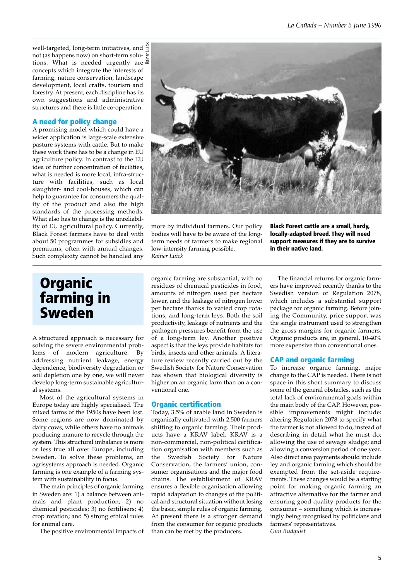well-targeted, long-term initiatives, and  $\frac{1}{3}$ not (as happens now) on short-term solutions. What is needed urgently are  $\overline{x}$ concepts which integrate the interests of farming, nature conservation, landscape development, local crafts, tourism and forestry. At present, each discipline has its own suggestions and administrative structures and there is little co-operation. Rainer Luick

### **A need for policy change**

A promising model which could have a wider application is large-scale extensive pasture systems with cattle. But to make these work there has to be a change in EU agriculture policy. In contrast to the EU idea of further concentration of facilities, what is needed is more local, infra-structure with facilities, such as local slaughter- and cool-houses, which can help to guarantee for consumers the quality of the product and also the high standards of the processing methods. What also has to change is the unreliability of EU agricultural policy. Currently, Black Forest farmers have to deal with about 50 programmes for subsidies and premiums, often with annual changes. Such complexity cannot be handled any

### **Organic farming in Sweden**

A structured approach is necessary for solving the severe environmental problems of modern agriculture. By addressing nutrient leakage, energy dependence, biodiversity degradation or soil depletion one by one, we will never develop long-term sustainable agricultural systems.

Most of the agricultural systems in Europe today are highly specialised. The mixed farms of the 1950s have been lost. Some regions are now dominated by dairy cows, while others have no animals producing manure to recycle through the system. This structural imbalance is more or less true all over Europe, including Sweden. To solve these problems, an agrisystems approach is needed. Organic farming is one example of a farming system with sustainability in focus.

The main principles of organic farming in Sweden are: 1) a balance between animals and plant production; 2) no chemical pesticides; 3) no fertilisers; 4) crop rotation; and 5) strong ethical rules for animal care.

The positive environmental impacts of



more by individual farmers. Our policy bodies will have to be aware of the longterm needs of farmers to make regional low-intensity farming possible. *Rainer Luick*

**Black Forest cattle are a small, hardy, locally-adapted breed. They will need support measures if they are to survive in their native land.**

organic farming are substantial, with no residues of chemical pesticides in food, amounts of nitrogen used per hectare lower, and the leakage of nitrogen lower per hectare thanks to varied crop rotations, and long-term leys. Both the soil productivity, leakage of nutrients and the pathogen pressures benefit from the use of a long-term ley. Another positive aspect is that the leys provide habitats for birds, insects and other animals. A literature review recently carried out by the Swedish Society for Nature Conservation has shown that biological diversity is higher on an organic farm than on a conventional one.

#### **Organic certification**

Today, 3.5% of arable land in Sweden is organically cultivated with 2,500 farmers shifting to organic farming. Their products have a KRAV label. KRAV is a non-commercial, non-political certification organisation with members such as the Swedish Society for Nature Conservation, the farmers' union, consumer organisations and the major food chains. The establishment of KRAV ensures a flexible organisation allowing rapid adaptation to changes of the political and structural situation without losing the basic, simple rules of organic farming. At present there is a stronger demand from the consumer for organic products than can be met by the producers.

The financial returns for organic farmers have improved recently thanks to the Swedish version of Regulation 2078, which includes a substantial support package for organic farming. Before joining the Community, price support was the single instrument used to strengthen the gross margins for organic farmers. Organic products are, in general, 10-40% more expensive than conventional ones.

#### **CAP and organic farming**

To increase organic farming, major change to the CAP is needed. There is not space in this short summary to discuss some of the general obstacles, such as the total lack of environmental goals within the main body of the CAP. However, possible improvements might include: altering Regulation 2078 to specify what the farmer is not allowed to do, instead of describing in detail what he must do; allowing the use of sewage sludge; and allowing a conversion period of one year. Also direct area payments should include ley and organic farming which should be exempted from the set-aside requirements. These changes would be a starting point for making organic farming an attractive alternative for the farmer and ensuring good quality products for the consumer – something which is increasingly being recognised by politicians and farmers' representatives. *Gun Rudquist*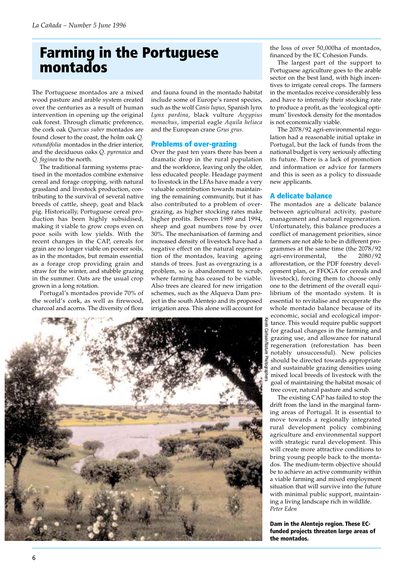# **Farming in the Portuguese montados**

The Portuguese montados are a mixed wood pasture and arable system created over the centuries as a result of human intervention in opening up the original oak forest. Through climatic preference, the cork oak *Quercus suber* montados are found closer to the coast, the holm oak *Q. rotundifolia* montados in the drier interior, and the deciduous oaks *Q. pyrenaica* and *Q. faginea* to the north.

The traditional farming systems practised in the montados combine extensive cereal and forage cropping, with natural grassland and livestock production, contributing to the survival of several native breeds of cattle, sheep, goat and black pig. Historically, Portuguese cereal production has been highly subsidised, making it viable to grow crops even on poor soils with low yields. With the recent changes in the CAP, cereals for grain are no longer viable on poorer soils, as in the montados, but remain essential as a forage crop providing grain and straw for the winter, and stubble grazing in the summer. Oats are the usual crop grown in a long rotation.

Portugal's montados provide 70% of the world's cork, as well as firewood, charcoal and acorns. The diversity of flora

and fauna found in the montado habitat include some of Europe's rarest species, such as the wolf *Canis lupus*, Spanish lynx *Lynx pardina*, black vulture *Aegypius monachus*, imperial eagle *Aquila heliaca* and the European crane *Grus grus*.

### **Problems of over-grazing**

Over the past ten years there has been a dramatic drop in the rural population and the workforce, leaving only the older, less educated people. Headage payment to livestock in the LFAs have made a very valuable contribution towards maintaining the remaining community, but it has also contributed to a problem of overgrazing, as higher stocking rates make higher profits. Between 1989 and 1994, sheep and goat numbers rose by over 30%. The mechanisation of farming and increased density of livestock have had a negative effect on the natural regeneration of the montados, leaving ageing stands of trees. Just as overgrazing is a problem, so is abandonment to scrub, where farming has ceased to be viable. Also trees are cleared for new irrigation schemes, such as the Alqueva Dam project in the south Alentejo and its proposed irrigation area. This alone will account for



the loss of over 50,000ha of montados, financed by the EC Cohesion Funds.

The largest part of the support to Portuguese agriculture goes to the arable sector on the best land, with high incentives to irrigate cereal crops. The farmers in the montados receive considerably less and have to intensify their stocking rate to produce a profit, as the 'ecological optimum' livestock density for the montados is not economically viable.

The 2078/92 agri-environmental regulation had a reasonable initial uptake in Portugal, but the lack of funds from the national budget is very seriously affecting its future. There is a lack of promotion and information or advice for farmers and this is seen as a policy to dissuade new applicants.

### **A delicate balance**

The montados are a delicate balance between agricultural activity, pasture management and natural regeneration. Unfortunately, this balance produces a conflict of management priorities, since farmers are not able to be in different programmes at the same time (the 2078/92 agri-environmental, the 2080/92 afforestation, or the PDF forestry development plan, or FFOGA for cereals and livestock), forcing them to choose only one to the detriment of the overall equilibrium of the montado system. It is essential to revitalise and recuperate the whole montado balance because of its economic, social and ecological importance. This would require public support for gradual changes in the farming and grazing use, and allowance for natural regeneration (reforestation has been notably unsuccessful). New policies should be directed towards appropriate and sustainable grazing densities using mixed local breeds of livestock with the goal of maintaining the habitat mosaic of

tree cover, natural pasture and scrub. The existing CAP has failed to stop the drift from the land in the marginal farming areas of Portugal. It is essential to move towards a regionally integrated rural development policy combining agriculture and environmental support with strategic rural development. This will create more attractive conditions to bring young people back to the montados. The medium-term objective should be to achieve an active community within a viable farming and mixed employment situation that will survive into the future with minimal public support, maintaining a living landscape rich in wildlife. *Peter Eden*

**Dam in the Alentejo region. These ECfunded projects threaten large areas of the montados.**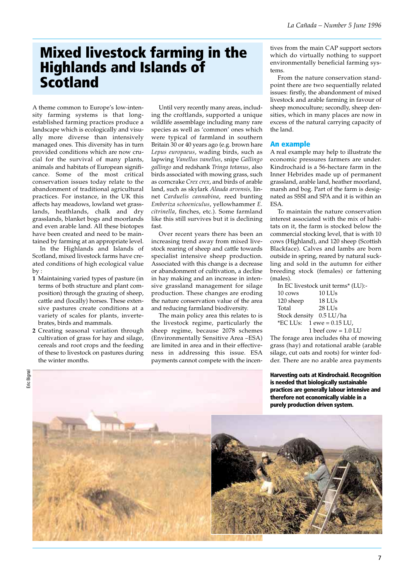### **Mixed livestock farming in the Highlands and Islands of Scotland**

A theme common to Europe's low-intensity farming systems is that longestablished farming practices produce a landscape which is ecologically and visually more diverse than intensively managed ones. This diversity has in turn provided conditions which are now crucial for the survival of many plants, animals and habitats of European significance. Some of the most critical conservation issues today relate to the abandonment of traditional agricultural practices. For instance, in the UK this affects hay meadows, lowland wet grasslands, heathlands, chalk and dry grasslands, blanket bogs and moorlands and even arable land. All these biotopes have been created and need to be maintained by farming at an appropriate level.

In the Highlands and Islands of Scotland, mixed livestock farms have created conditions of high ecological value by :

- **1** Maintaining varied types of pasture (in terms of both structure and plant composition) through the grazing of sheep, cattle and (locally) horses. These extensive pastures create conditions at a variety of scales for plants, invertebrates, birds and mammals.
- **2** Creating seasonal variation through cultivation of grass for hay and silage, cereals and root crops and the feeding of these to livestock on pastures during the winter months.

Until very recently many areas, including the croftlands, supported a unique wildlife assemblage including many rare species as well as 'common' ones which were typical of farmland in southern Britain 30 or 40 years ago (e.g. brown hare *Lepus europaeus*, wading birds, such as lapwing *Vanellus vanellus*, snipe *Gallingo gallingo* and redshank *Tringa totanus*, also birds associated with mowing grass, such as corncrake *Crex crex*, and birds of arable land, such as skylark *Alauda arvensis,* linnet *Carduelis cannabina*, reed bunting *Emberiza schoeniculus*, yellowhammer *E. citrinella*, finches, etc.). Some farmland like this still survives but it is declining fast.

Over recent years there has been an increasing trend away from mixed livestock rearing of sheep and cattle towards specialist intensive sheep production. Associated with this change is a decrease or abandonment of cultivation, a decline in hay making and an increase in intensive grassland management for silage production. These changes are eroding the nature conservation value of the area and reducing farmland biodiversity.

The main policy area this relates to is the livestock regime, particularly the sheep regime, because 2078 schemes (Environmentally Sensitive Area –ESA) are limited in area and in their effectiveness in addressing this issue. ESA payments cannot compete with the incentives from the main CAP support sectors which do virtually nothing to support environmentally beneficial farming systems.

From the nature conservation standpoint there are two sequentially related issues: firstly, the abandonment of mixed livestock and arable farming in favour of sheep monoculture; secondly, sheep densities, which in many places are now in excess of the natural carrying capacity of the land.

#### **An example**

A real example may help to illustrate the economic pressures farmers are under. Kindrochaid is a 56-hectare farm in the Inner Hebrides made up of permanent grassland, arable land, heather moorland, marsh and bog. Part of the farm is designated as SSSI and SPA and it is within an ESA.

To maintain the nature conservation interest associated with the mix of habitats on it, the farm is stocked below the commercial stocking level, that is with 10 cows (Highland), and 120 sheep (Scottish Blackface). Calves and lambs are born outside in spring, reared by natural suckling and sold in the autumn for either breeding stock (females) or fattening (males).

|           | In EC livestock unit terms* (LU):- |
|-----------|------------------------------------|
| 10 cows   | $10$ LUs                           |
| 120 sheep | 18 LUs                             |
| Total     | 28 LU <sub>S</sub>                 |
|           | Stock density 0.5 LU/ha            |
|           | <i>*EC LUs:</i> $1$ ewe = 0.15 LU, |
|           | 1 beef cow = $1.0$ LU              |

The forage area includes 6ha of mowing grass (hay) and rotational arable (arable silage, cut oats and roots) for winter fodder. There are no arable area payments

**Harvesting oats at Kindrochaid. Recognition is needed that biologically sustainable practices are generally labour intensive and therefore not economically viable in a**

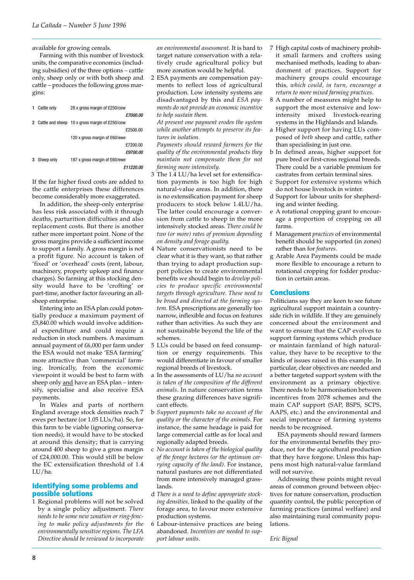available for growing cereals.

Farming with this number of livestock units, the comparative economics (including subsidies) of the three options – cattle only, sheep only or with both sheep and cattle – produces the following gross margins:

| Cattle only | 28 x gross margin of £250/cow |                                                  |
|-------------|-------------------------------|--------------------------------------------------|
|             | £7000.00                      |                                                  |
|             |                               |                                                  |
|             | £2500.00                      |                                                  |
|             | 120 x gross margin of £60/ewe |                                                  |
|             | £7200.00                      |                                                  |
|             | £9700.00                      |                                                  |
| Sheep only  | 187 x gross margin of £60/ewe |                                                  |
|             | £11220.00                     |                                                  |
|             |                               | 2 Cattle and sheep 10 x gross margin of £250/cow |

If the far higher fixed costs are added to the cattle enterprises these differences become considerably more exaggerated.

In addition, the sheep-only enterprise has less risk associated with it through deaths, parturition difficulties and also replacement costs. But there is another rather more important point. None of the gross margins provide a sufficient income to support a family. A gross margin is not a profit figure. No account is taken of 'fixed' or 'overhead' costs (rent, labour, machinery, property upkeep and finance charges). So farming at this stocking density would have to be 'crofting' or part-time, another factor favouring an allsheep enterprise.

Entering into an ESA plan could potentially produce a maximum payment of £5,840.00 which would involve additional expenditure and could require a reduction in stock numbers. A maximum annual payment of £6,000 per farm under the ESA would not make 'ESA farming' more attractive than 'commercial' farming. Ironically, from the economic viewpoint it would be best to farm with sheep only and have an ESA plan - intensify, specialise and also receive ESA payments.

In Wales and parts of northern England average stock densities reach 7 ewes per hectare (or 1.05 LUs/ha). So, for this farm to be viable (ignoring conservation needs), it would have to be stocked at around this density; that is carrying around 400 sheep to give a gross margin of £24,000.00. This would still be below the EC extensification threshold of 1.4 LU/ha.

#### **Identifying some problems and possible solutions**

1 Regional problems will not be solved by a single policy adjustment. *There needs to be some new zonation or ring-fencing to make policy adjustments for the environmentally sensitive regions. The LFA Directive should be reviewed to incorporate*

*an environmental assessment.* It is hard to target nature conservation with a relatively crude agricultural policy but more zonation would be helpful.

2 ESA payments are compensation payments to reflect loss of agricultural production. Low intensity systems are disadvantaged by this and *ESA payments do not provide an economic incentive to help sustain them.* 

*At present one payment erodes the system while another attempts to preserve its features in isolation.*

*Payments should reward farmers for the quality of the environmental products they maintain not compensate them for not farming more intensively.*

- 3 The 1.4 LU/ha level set for extensification payments is too high for high natural-value areas. In addition, there is no extensification payment for sheep producers to stock below 1.4LU/ha. The latter could encourage a conversion from cattle to sheep in the more intensively stocked areas. *There could be two (or more) rates of premium depending on density and forage quality.*
- 4 Nature conservationists need to be clear what it is they want, so that rather than trying to adapt production support policies to create environmental benefits we should begin to *develop policies to produce specific environmental targets through agriculture. These need to be broad and directed at the farming system.* ESA prescriptions are generally too narrow, inflexible and focus on features rather than activities. As such they are not sustainable beyond the life of the schemes.
- 5 LUs could be based on feed consumption or energy requirements. This would differentiate in favour of smaller regional breeds of livestock.
- a In the assessments of LU/ha *no account is taken of the composition of the different animals*. In nature conservation terms these grazing differences have significant effects.
- b *Support payments take no account of the quality or the character of the animals*. For instance, the same headage is paid for large commercial cattle as for local and regionally adapted breeds.
- c *No account is taken of the biological quality of the forage hectares (or the optimum carrying capacity of the land).* For instance, natural pastures are not differentiated from more intensively managed grasslands.
- d *There is a need to define appropriate stocking densities,* linked to the quality of the forage area, to favour more extensive production systems.
- 6 Labour-intensive practices are being abandoned. *Incentives are needed to support labour units.*
- 7 High capital costs of machinery prohibit small farmers and crofters using mechanised methods, leading to abandonment of practices. Support for machinery groups could encourage this*, which could, in turn, encourage a return to more mixed farming practices.*
- 8 A number of measures might help to support the most extensive and lowintensity mixed livestock-rearing systems in the Highlands and Islands.
- a Higher support for having LUs composed of *both* sheep and cattle, rather than specialising in just one.
- b In defined areas, higher support for pure bred or first-cross regional breeds. There could be a variable premium for castrates from certain terminal sires.
- c Support for extensive systems which do not house livestock in winter.
- d Support for labour units for shepherding and winter feeding.
- e A rotational cropping grant to encourage a proportion of cropping on all farms.
- f Management *practices* of environmental benefit should be supported (in zones) rather than for *features*.
- g Arable Area Payments could be made more flexible to encourage a return to rotational cropping for fodder production in certain areas.

#### **Conclusions**

Politicians say they are keen to see future agricultural support maintain a countryside rich in wildlife. If they are genuinely concerned about the environment and want to ensure that the CAP evolves to support farming systems which produce or maintain farmland of high naturalvalue, they have to be receptive to the kinds of issues raised in this example. In particular, clear objectives are needed and a better targeted support system with the environment as a primary objective. There needs to be harmonisation between incentives from 2078 schemes and the main CAP support (SAP, BSPS, SCPS, AAPS, etc.) and the environmental and social importance of farming systems needs to be recognised.

ESA payments should reward farmers for the environmental benefits they produce, not for the agricultural production that they have forgone. Unless this happens most high natural-value farmland will not survive.

Addressing these points might reveal areas of common ground between objectives for nature conservation, production quantity control, the public perception of farming practices (animal welfare) and also maintaining rural community populations.

*Eric Bignal*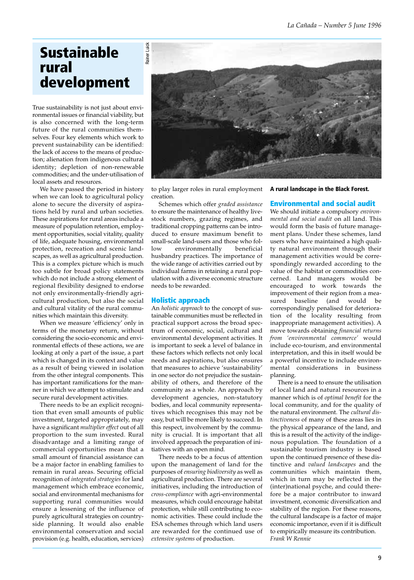# **Sustainable rural development**

True sustainability is not just about environmental issues or financial viability, but is also concerned with the long-term future of the rural communities themselves. Four key elements which work to prevent sustainability can be identified: the lack of access to the means of production; alienation from indigenous cultural identity; depletion of non-renewable commodities; and the under-utilisation of local assets and resources.

We have passed the period in history when we can look to agricultural policy alone to secure the diversity of aspirations held by rural and urban societies. These aspirations for rural areas include a measure of population retention, employment opportunities, social vitality, quality of life, adequate housing, environmental protection, recreation and scenic landscapes, as well as agricultural production. This is a complex picture which is much too subtle for broad policy statements which do not include a strong element of regional flexibility designed to endorse not only environmentally-friendly agricultural production, but also the social and cultural vitality of the rural communities which maintain this diversity.

When we measure 'efficiency' only in terms of the monetary return, without considering the socio-economic and environmental effects of these actions, we are looking at only a part of the issue, a part which is changed in its context and value as a result of being viewed in isolation from the other integral components. This has important ramifications for the manner in which we attempt to stimulate and secure rural development activities.

There needs to be an explicit recognition that even small amounts of public investment, targeted appropriately, may have a significant *multiplier effect* out of all proportion to the sum invested. Rural disadvantage and a limiting range of commercial opportunities mean that a small amount of financial assistance can be a major factor in enabling families to remain in rural areas. Securing official recognition of *integrated strategies* for land management which embrace economic, social and environmental mechanisms for supporting rural communities would ensure a lessening of the influence of purely agricultural strategies on countryside planning. It would also enable environmental conservation and social provision (e.g. health, education, services)



to play larger roles in rural employment creation.

Schemes which offer *graded assistance* to ensure the maintenance of healthy livestock numbers, grazing regimes, and traditional cropping patterns can be introduced to ensure maximum benefit to small-scale land-users and those who follow environmentally beneficial husbandry practices. The importance of the wide range of activities carried out by individual farms in retaining a rural population with a diverse economic structure needs to be rewarded.

#### **Holistic approach**

An *holistic approach* to the concept of sustainable communities must be reflected in practical support across the broad spectrum of economic, social, cultural and environmental development activities. It is important to seek a level of balance in these factors which reflects not only local needs and aspirations, but also ensures that measures to achieve 'sustainability' in one sector do not prejudice the sustainability of others, and therefore of the community as a whole. An approach by development agencies, non-statutory bodies, and local community representatives which recognises this may not be easy, but will be more likely to succeed. In this respect, involvement by the community is crucial. It is important that all involved approach the preparation of initiatives with an open mind.

There needs to be a focus of attention upon the management of land for the purposes of *ensuring biodiversity* as well as agricultural production. There are several initiatives, including the introduction of *cross-compliance* with agri-environmental measures, which could encourage habitat protection, while still contributing to economic activities. These could include the ESA schemes through which land users are rewarded for the continued use of *extensive systems* of production.

**A rural landscape in the Black Forest.**

### **Environmental and social audit**

We should initiate a compulsory *environmental and social audit* on all land. This would form the basis of future management plans. Under these schemes, land users who have maintained a high quality natural environment through their management activities would be correspondingly rewarded according to the value of the habitat or commodities concerned. Land managers would be encouraged to work towards the improvement of their region from a measured baseline (and would be correspondingly penalised for deterioration of the locality resulting from inappropriate management activities). A move towards obtaining *financial returns from 'environmental commerce'* would include eco-tourism, and environmental interpretation, and this in itself would be a powerful incentive to include environmental considerations in business planning.

There is a need to ensure the utilisation of local land and natural resources in a manner which is of *optimal benefit* for the local community, and for the quality of the natural environment. The *cultural distinctiveness* of many of these areas lies in the physical appearance of the land, and this is a result of the activity of the indigenous population. The foundation of a sustainable tourism industry is based upon the continued presence of these distinctive and *valued landscapes* and the communities which maintain them, which in turn may be reflected in the (inter)national psyche, and could therefore be a major contributor to inward investment, economic diversification and stability of the region. For these reasons, the cultural landscape is a factor of major economic importance, even if it is difficult to empirically measure its contribution. *Frank W Rennie*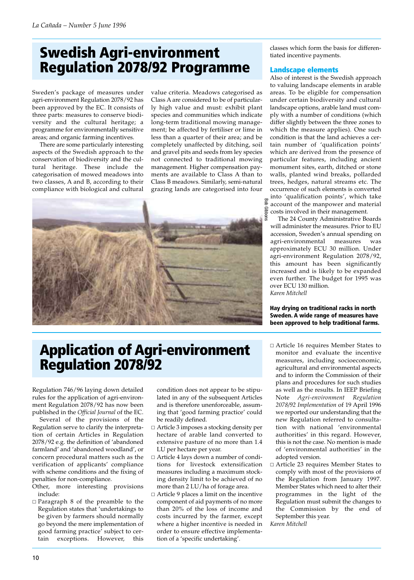# **Swedish Agri-environment Regulation 2078/92 Programme**

Sweden's package of measures under agri-environment Regulation 2078/92 has been approved by the EC. It consists of three parts: measures to conserve biodiversity and the cultural heritage; a programme for environmentally sensitive areas; and organic farming incentives.

There are some particularly interesting aspects of the Swedish approach to the conservation of biodiversity and the cultural heritage. These include the categorisation of mowed meadows into two classes, A and B, according to their compliance with biological and cultural value criteria. Meadows categorised as Class A are considered to be of particularly high value and must: exhibit plant species and communities which indicate long-term traditional mowing management; be affected by fertiliser or lime in less than a quarter of their area; and be completely unaffected by ditching, soil and gravel pits and seeds from ley species not connected to traditional mowing management. Higher compensation payments are available to Class A than to Class B meadows. Similarly, semi-natural grazing lands are categorised into four



classes which form the basis for differentiated incentive payments.

#### **Landscape elements**

Also of interest is the Swedish approach to valuing landscape elements in arable areas. To be eligible for compensation under certain biodiversity and cultural landscape options, arable land must comply with a number of conditions (which differ slightly between the three zones to which the measure applies). One such condition is that the land achieves a certain number of 'qualification points' which are derived from the presence of particular features, including ancient monument sites, earth, ditched or stone walls, planted wind breaks, pollarded trees, hedges, natural streams etc. The occurrence of such elements is converted into 'qualification points', which take account of the manpower and material costs involved in their management.

The 24 County Administrative Boards will administer the measures. Prior to EU accession, Sweden's annual spending on agri-environmental measures was approximately ECU 30 million. Under agri-environment Regulation 2078/92, this amount has been significantly increased and is likely to be expanded even further. The budget for 1995 was over ECU 130 million. *Karen Mitchell*

**Hay drying on traditional racks in north Sweden. A wide range of measures have been approved to help traditional farms.**

# **Application of Agri-environment Regulation 2078/92**

Regulation 746/96 laying down detailed rules for the application of agri-environment Regulation 2078/92 has now been published in the *Official Journal* of the EC.

Several of the provisions of the Regulation serve to clarify the interpretation of certain Articles in Regulation 2078/92 e.g. the definition of 'abandoned farmland' and 'abandoned woodland', or concern procedural matters such as the verification of applicants' compliance with scheme conditions and the fixing of penalties for non-compliance.

Other, more interesting provisions include:

- Paragraph 8 of the preamble to the Regulation states that 'undertakings to be given by farmers should normally go beyond the mere implementation of good farming practice' subject to certain exceptions. However, this

condition does not appear to be stipulated in any of the subsequent Articles and is therefore unenforceable, assuming that 'good farming practice' could be readily defined.

- □ Article 3 imposes a stocking density per hectare of arable land converted to extensive pasture of no more than 1.4 LU per hectare per year.
- Article 4 lays down a number of conditions for livestock extensification measures including a maximum stocking density limit to be achieved of no more than 2 LU/ha of forage area.
- $\Box$  Article 9 places a limit on the incentive component of aid payments of no more than 20% of the loss of income and costs incurred by the farmer, except where a higher incentive is needed in order to ensure effective implementation of a 'specific undertaking'.
- □ Article 16 requires Member States to monitor and evaluate the incentive measures, including socioeconomic, agricultural and environmental aspects and to inform the Commission of their plans and procedures for such studies as well as the results. In IEEP Briefing Note *Agri-environment Regulation 2078/92 Implementation* of 19 April 1996 we reported our understanding that the new Regulation referred to consultation with national 'environmental authorities' in this regard. However, this is not the case. No mention is made of 'environmental authorities' in the adopted version.
- $\Box$  Article 23 requires Member States to comply with most of the provisions of the Regulation from January 1997. Member States which need to alter their programmes in the light of the Regulation must submit the changes to the Commission by the end of September this year. *Karen Mitchell*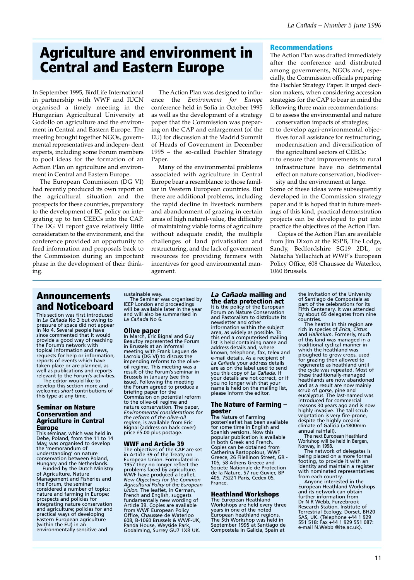### **Agriculture and environment in Central and Eastern Europe**

In September 1995, BirdLife International in partnership with WWF and IUCN organised a timely meeting in the Hungarian Agricultural University at Godollo on agriculture and the environment in Central and Eastern Europe. The meeting brought together NGOs, governmental representatives and indepen- dent experts, including some Forum members to pool ideas for the formation of an Action Plan on agriculture and environment in Central and Eastern Europe.

The European Commission (DG VI) had recently produced its own report on the agricultural situation and the prospects for these countries, preparatory to the development of EC policy on integrating up to ten CEECs into the CAP. The DG VI report gave relatively little consideration to the environment, and the conference provided an opportunity to feed information and proposals back to the Commission during an important phase in the development of their thinking.

The Action Plan was designed to influence the *Environment for Europe* conference held in Sofia in October 1995 as well as the development of a strategy paper that the Commission was preparing on the CAP and enlargement (of the EU) for discussion at the Madrid Summit of Heads of Government in December 1995 – the so-called Fischler Strategy Paper.

Many of the environmental problems associated with agriculture in Central Europe bear a resemblance to those familiar in Western European countries. But there are additional problems, including the rapid decline in livestock numbers and abandonment of grazing in certain areas of high natural-value, the difficulty of maintaining viable forms of agriculture without adequate credit, the multiple challenges of land privatisation and restructuring, and the lack of government resources for providing farmers with incentives for good environmental management.

#### **Recommendations**

The Action Plan was drafted immediately after the conference and distributed among governments, NGOs and, especially, the Commission officials preparing the Fischler Strategy Paper. It urged decision makers, when considering accession strategies for the CAP to bear in mind the following three main recommendations:

- $\Box$  to assess the environmental and nature conservation impacts of strategies;
- to develop agri-environmental objectives for all assistance for restructuring, modernisation and diversification of the agricultural sectors of CEECs;
- $\Box$  to ensure that improvements to rural infrastructure have no detrimental effect on nature conservation, biodiversity and the environment at large.

Some of these ideas were subsequently developed in the Commission strategy paper and it is hoped that in future meetings of this kind, practical demonstration projects can be developed to put into practice the objectives of the Action Plan.

Copies of the Action Plan are available from Jim Dixon at the RSPB, The Lodge, Sandy, Bedfordshire SG19 2DL, or Natacha Yellachich at WWF's European Policy Office, 608 Chaussee de Waterloo, 1060 Brussels.

### **Announcements and Noticeboard**

This section was first introduced in *La Cañada* No 3 but owing to pressure of space did not appear in No 4. Several people have since commented that it would provide a good way of reaching the Forum's network with topical information and news, requests for help or information, reports of events which have taken place or are planned, as well as publications and reports

relevant to the Forum's activities. The editor would like to develop this section more and welcomes *short* contributions of this type at any time.

#### **Seminar on Nature Conservation and Agriculture in Central Europe**

This seminar, which was held in Debe, Poland, from the 11 to 14 May, was organised to develop the 'memorandum of understanding' on nature conservation between Poland, Hungary and the Netherlands.

Funded by the Dutch Ministry of Agriculture, Nature Management and Fisheries and the Forum, the seminar considered a number of topics: nature and farming in Europe; prospects and policies for integrating nature conservation and agriculture; policies for and practical ways of developing Eastern European agriculture (within the EU) in an environmentally sensitive and

sustainable way.

The Seminar was organised by IEEP London and proceedings will be available later in the year and will also be summarised in *La Cañada* No 6.

**Olive paper** In March, Eric Bignal and Guy Beaufoy represented the Forum in Brussels at an informal meeting with Frank Leguen de Lacroix (DG VI) to discuss the impending reforms to the oliveoil regime. This meeting was a result of the Forum's seminar in Brussels in January (see this issue). Following the meeting the Forum agreed to produce a briefing paper for the Commission on potential reform to the olive-oil regime and nature conservation. The paper, *Environmental considerations for the reform of the olive-oil regime*, is available from Eric Bignal (address on back cover) price £5.00 plus postage.

#### **WWF and Article 39**

The objectives of the CAP are set in Article 39 of the Treaty on European Union. Formulated in 1957 they no longer reflect the problems faced by agriculture. WWF have produced a leaflet, *New Objectives for the Common Agricultural Policy of the European Union.* The leaflet, in German, French and English, suggests fundamentally new wording of Article 39. Copies are available from WWF European Policy Office, Chaussee de Waterloo 608, B-1060 Brussels & WWF-UK, Panda House, Weyside Park, Godalming, Surrey GU7 1XR UK.

### *La Cañada* **mailing and**

**the data protection act** It is the policy of the European Forum on Nature Conservation and Pastoralism to distribute its newsletter and other

information within the subject area, as widely as possible. To this end a computerised mailing list is held containing name and address details and, where known, telephone, fax, telex and e-mail details. As a recipient of *La Cañada* your address details are as on the label used to send you this copy of *La Cañada.* If your details are not correct, or if you no longer wish that your name is held on the mailing list, please inform the editor.

### **The Nature of Farming – poster** The Nature of Farming

poster/leaflet has been available for some time in English and Spanish versions. Now this popular publication is available in both Greek and French. Copies can be obtained from Catherina Rastopolous, WWF Greece, 26 Filellinon Street, GR - 105, 58 Athens Greece and Societe Nationale de Protection de la Nature, 57 rue Guvier, BP 405, 75221 Paris, Cedex 05, France.

### **Heathland Workshops**

The European Heathland Workshops are held every three years in one of the noted European heathland regions. The 5th Workshop was held in September 1995 at Santiago de Compostela in Galicia, Spain at

the invitation of the University of Santiago de Compostela as part of the celebrations for its Fifth Centenary. It was attended by about 65 delegates from nine countries.

The heaths in this region are rich in species of *Erica*, *Cistus* and *Halimium*. Formerly, much of this land was managed in a traditional cyclical manner in which the heathland was ploughed to grow crops, used for grazing then allowed to regenerate as heathland until the cycle was repeated. Most of these traditionally-managed heathlands are now abandoned and as a result are now mainly scrub of gorse, pine and eucalyptus. The last-named was introduced for commercial reasons 30 years ago and is now highly invasive. The tall scrub vegetation is very fire-prone, despite the highly oceanic climate of Galicia (>1800mm annual rainfall).

The next European Heathland Workshop will be held in Bergen, Norway, in 1998.

The network of delegates is being placed on a more formal footing, to provide it with an identity and maintain a register with nominated representatives from each country.

Anyone interested in the European Heathland Workshops and its network can obtain further information from Dr N R Webb, Furzebrook Research Station, Institute of Terrestrial Ecology, Dorset, BH20 5AS, UK. (Telephone +44 1 929 551 518: Fax +44 1 929 551 087: e-mail N.Webb @ite.ac.uk).